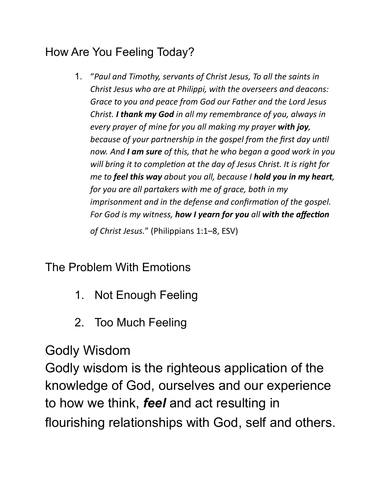### How Are You Feeling Today?

1. "*Paul and Timothy, servants of Christ Jesus, To all the saints in Christ Jesus who are at Philippi, with the overseers and deacons: Grace to you and peace from God our Father and the Lord Jesus Christ. I thank my God in all my remembrance of you, always in every prayer of mine for you all making my prayer with joy, because of your partnership in the gospel from the first day until now. And I am sure of this, that he who began a good work in you*  will bring it to completion at the day of Jesus Christ. It is right for *me to feel this way about you all, because I hold you in my heart, for you are all partakers with me of grace, both in my imprisonment and in the defense and confirmation of the gospel. For God is my witness, how I yearn for you all with the affection* 

*of Christ Jesus.*" (Philippians 1:1–8, ESV)

The Problem With Emotions

- 1. Not Enough Feeling
- 2. Too Much Feeling

Godly Wisdom

Godly wisdom is the righteous application of the knowledge of God, ourselves and our experience to how we think, *feel* and act resulting in flourishing relationships with God, self and others.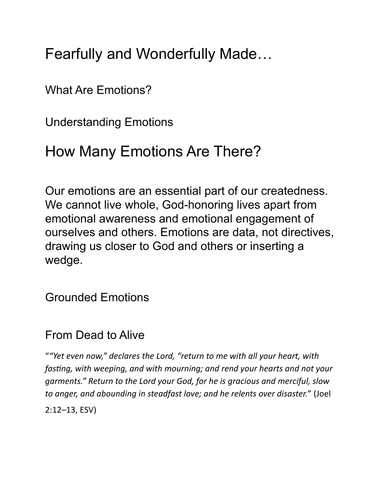Fearfully and Wonderfully Made…

What Are Emotions?

Understanding Emotions

## How Many Emotions Are There?

Our emotions are an essential part of our createdness. We cannot live whole, God-honoring lives apart from emotional awareness and emotional engagement of ourselves and others. Emotions are data, not directives, drawing us closer to God and others or inserting a wedge.

Grounded Emotions

#### From Dead to Alive

"*"Yet even now," declares the Lord, "return to me with all your heart, with fasting, with weeping, and with mourning; and rend your hearts and not your garments." Return to the Lord your God, for he is gracious and merciful, slow to anger, and abounding in steadfast love; and he relents over disaster.*" (Joel 2:12–13, ESV)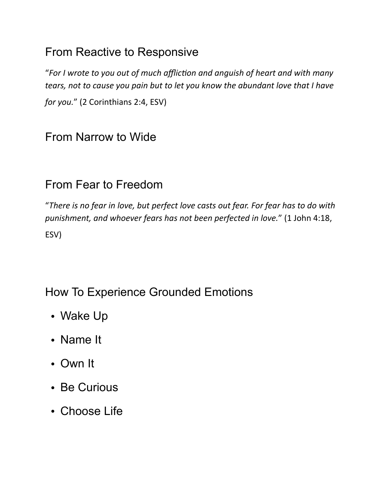#### From Reactive to Responsive

"For I wrote to you out of much affliction and anguish of heart and with many *tears, not to cause you pain but to let you know the abundant love that I have for you.*" (2 Corinthians 2:4, ESV)

#### From Narrow to Wide

#### From Fear to Freedom

"*There is no fear in love, but perfect love casts out fear. For fear has to do with punishment, and whoever fears has not been perfected in love.*" (1 John 4:18, ESV)

#### How To Experience Grounded Emotions

- Wake Up
- Name It
- Own It
- Be Curious
- Choose Life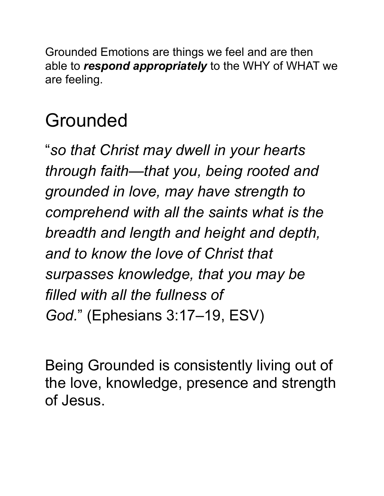Grounded Emotions are things we feel and are then able to *respond appropriately* to the WHY of WHAT we are feeling.

# Grounded

"*so that Christ may dwell in your hearts through faith—that you, being rooted and grounded in love, may have strength to comprehend with all the saints what is the breadth and length and height and depth, and to know the love of Christ that surpasses knowledge, that you may be filled with all the fullness of God.*" (Ephesians 3:17–19, ESV)

Being Grounded is consistently living out of the love, knowledge, presence and strength of Jesus.